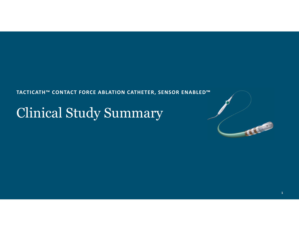#### **TACTICATH™ CONTACT FORCE ABLATION CATHETER, SENSOR ENABLED™**

# Clinical Study Summary

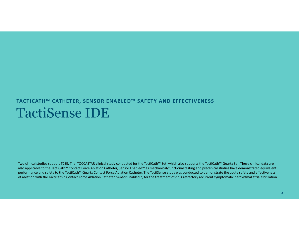# TactiSense IDE**TACTICATH™ CATHETER, SENSOR ENABLED™ SAFETY AND EFFECTIVENESS**

Two clinical studies support TCSE. The TOCCASTAR clinical study conducted for the TactiCath™ Set, which also supports the TactiCath™ Quartz Set. These clinical data are also applicable to the TactiCath™ Contact Force Ablation Catheter, Sensor Enabled™ as mechanical/functional testing and preclinical studies have demonstrated equivalent performance and safety to the TactiCath™ Quartz Contact Force Ablation Catheter. The TactiSense study was conducted to demonstrate the acute safety and effectiveness of ablation with the TactiCath™ Contact Force Ablation Catheter, Sensor Enabled™, for the treatment of drug refractory recurrent symptomatic paroxysmal atrial fibrillation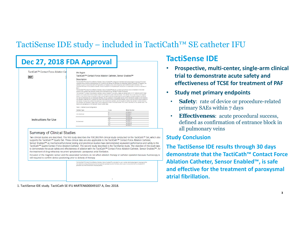### TactiSense IDE study – included in TactiCath™ SE catheter IFU

| Description    | TactiCath™ Contact Force Ablation Catheter, Sensor Enabled™ |                                                                                                                                                                                                                                                                                                                                                                                                                                                                                                                                                                                                                                                                                                                                                                                                                                                                                                                                                                                                                                                                                                                                                                                                                                                                                                                                                                                                                                                                                                                                                                                                                               |
|----------------|-------------------------------------------------------------|-------------------------------------------------------------------------------------------------------------------------------------------------------------------------------------------------------------------------------------------------------------------------------------------------------------------------------------------------------------------------------------------------------------------------------------------------------------------------------------------------------------------------------------------------------------------------------------------------------------------------------------------------------------------------------------------------------------------------------------------------------------------------------------------------------------------------------------------------------------------------------------------------------------------------------------------------------------------------------------------------------------------------------------------------------------------------------------------------------------------------------------------------------------------------------------------------------------------------------------------------------------------------------------------------------------------------------------------------------------------------------------------------------------------------------------------------------------------------------------------------------------------------------------------------------------------------------------------------------------------------------|
|                |                                                             |                                                                                                                                                                                                                                                                                                                                                                                                                                                                                                                                                                                                                                                                                                                                                                                                                                                                                                                                                                                                                                                                                                                                                                                                                                                                                                                                                                                                                                                                                                                                                                                                                               |
|                |                                                             |                                                                                                                                                                                                                                                                                                                                                                                                                                                                                                                                                                                                                                                                                                                                                                                                                                                                                                                                                                                                                                                                                                                                                                                                                                                                                                                                                                                                                                                                                                                                                                                                                               |
| 8.5K           |                                                             | The TactiCalls <sup>ral</sup> Contact Force Ablation Catheter, Sensor Enabled <sup>na</sup> is designed to facilitate electrophysiological mapping of the heart<br>chambers and to transmit radiofrequency (RF) current to the catheter tip electrode for intracantiac abiation purposes. For abiation, the<br>catheter is used in conjunction with a RF generator, an imigation pump, and a dispensive pad (indifferent patch electrode). The                                                                                                                                                                                                                                                                                                                                                                                                                                                                                                                                                                                                                                                                                                                                                                                                                                                                                                                                                                                                                                                                                                                                                                                |
|                | Curve                                                       | Model Number<br>A-TCSE-D                                                                                                                                                                                                                                                                                                                                                                                                                                                                                                                                                                                                                                                                                                                                                                                                                                                                                                                                                                                                                                                                                                                                                                                                                                                                                                                                                                                                                                                                                                                                                                                                      |
|                |                                                             | A-TCSE-F                                                                                                                                                                                                                                                                                                                                                                                                                                                                                                                                                                                                                                                                                                                                                                                                                                                                                                                                                                                                                                                                                                                                                                                                                                                                                                                                                                                                                                                                                                                                                                                                                      |
|                |                                                             | A-TCSE-J                                                                                                                                                                                                                                                                                                                                                                                                                                                                                                                                                                                                                                                                                                                                                                                                                                                                                                                                                                                                                                                                                                                                                                                                                                                                                                                                                                                                                                                                                                                                                                                                                      |
|                | $D - D$                                                     | A-TCSE-DO                                                                                                                                                                                                                                                                                                                                                                                                                                                                                                                                                                                                                                                                                                                                                                                                                                                                                                                                                                                                                                                                                                                                                                                                                                                                                                                                                                                                                                                                                                                                                                                                                     |
|                | F.F                                                         | A-TCSE-FF                                                                                                                                                                                                                                                                                                                                                                                                                                                                                                                                                                                                                                                                                                                                                                                                                                                                                                                                                                                                                                                                                                                                                                                                                                                                                                                                                                                                                                                                                                                                                                                                                     |
| Bi-directional | 1.1                                                         | A-TCSE-JJ                                                                                                                                                                                                                                                                                                                                                                                                                                                                                                                                                                                                                                                                                                                                                                                                                                                                                                                                                                                                                                                                                                                                                                                                                                                                                                                                                                                                                                                                                                                                                                                                                     |
|                | D-F                                                         | A-TOSE-DF                                                                                                                                                                                                                                                                                                                                                                                                                                                                                                                                                                                                                                                                                                                                                                                                                                                                                                                                                                                                                                                                                                                                                                                                                                                                                                                                                                                                                                                                                                                                                                                                                     |
|                | $T-1$                                                       | A-TCSE-FJ                                                                                                                                                                                                                                                                                                                                                                                                                                                                                                                                                                                                                                                                                                                                                                                                                                                                                                                                                                                                                                                                                                                                                                                                                                                                                                                                                                                                                                                                                                                                                                                                                     |
|                | Catheter Type<br>Uni-directional                            | TactiCath <sup>14</sup> Contact Force Ablation Catheter, Sensor Enabled <sup>ter</sup> is compabible with introducers or shealths with a minimum diameter of<br>The TactiCath <sup>na</sup> Contact Force Ablation Catheter, Sensor Enabled <sup>na</sup> features a bi-axial optical force sensor embedded in the distal<br>section of the catheter that transmits contact force information to the TactiSys <sup>tar</sup> Quartz Equipment.<br>The TactiCath <sup>1M</sup> Contact Force Ablation Catheter, Sensor Enabled <sup>1M</sup> is a sterile, single use catheter with a 7.5 F shalt and an 8 F distal<br>section. It is constructed of thermopiastic elastomer material and noble metal electrodes. The catheter has a novel force and magnetic.<br>sensor. It has a fluid lumen connected to open conduits within a 6-hole tip electrode for saline irrigation during the ablation procedure.<br>For both bi-directional and uni-directional catheters, the tip curvature is manipulated by the control mechanism located on the handle at<br>the catheler's proximal end. To adjust the curve of the distal tip on the uni-directional catheter, push or pull the thumb control located on<br>the handle. To adjust the curve of the distal tip on the bi-directional catheter, use the actuator to deflect the catheter in either direction.<br>The catheters are available in eight distal curve configurations listed in the table below. The curve is identified on the catheter label. The<br>device and packaging are not made with natural rubber latex.<br>Table 1. Catheter Curve Configurations<br>o |

to demonstrate the acute safety and effectiveness of ablation with the TactiCath™ Contact Force Ablation Catheter, Sensor Enabled™, for the treatment of drug refractory recurrent symptomatic paroxysmal atrial fibrillation.

Inclusion of the magnetic sensor and the associated functions do not affect ablation therapy or catheter operation because fluoroscopy is still required to confirm device positioning prior to delivery of therapy.

| The TactiCath™ Contact Force Abiation Catheter, Sensor Enabled™ is indicated for use in cardiac electrophysiological mapping and for<br>the treatment of drug refractory recurrent symptomatic paroxysmal atrial fibriliation, when used in conjunction with a compatible RF<br>generator and three-dimensional mapping system. The contract of the state of the state of the state of the state and<br>그 오랜만 정말 그는 그 것 같은 사람이 많았다. 사람은 아이들은 일 사람이 어려워 봐. |  |
|-----------------------------------------------------------------------------------------------------------------------------------------------------------------------------------------------------------------------------------------------------------------------------------------------------------------------------------------------------------------------------------------------------------------------------------------------------------|--|
|                                                                                                                                                                                                                                                                                                                                                                                                                                                           |  |

1. TactiSense IDE study. TactiCath SE IFU #ARTEN600049107 A, Dec 2018.

### **TactiSense IDE**

- • **Prospective, multi‐center, single‐arm clinical trial to demonstrate acute safety and effectiveness of TCSE for treatment of PAF**
- $\bullet$  **Study met primary endpoints**
	- • **Safety**: rate of device or procedure-related primary SAEs within 7 days
	- • **Effectiveness**: acute procedural success, defined as confirmation of entrance block in all pulmonary veins

#### **Study Conclusion**

**The TactiSense IDE results through 30 days demonstrate that the TactiCath™ Contact Force Ablation Catheter, Sensor Enabled™, is safe and effective for the treatment of paroxysmal atrial fibrillation.**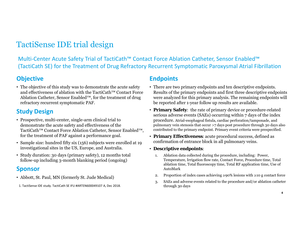### TactiSense IDE trial design

Multi‐Center Acute Safety Trial of TactiCath™ Contact Force Ablation Catheter, Sensor Enabled™ (TactiCath SE) for the Treatment of Drug Refractory Recurrent Symptomatic Paroxysmal Atrial Fibrillation

#### **Objective**

• The objective of this study was to demonstrate the acute safety and effectiveness of ablation with the TactiCath™ Contact Force Ablation Catheter, Sensor Enabled™, for the treatment of drug refractory recurrent symptomatic PAF.

#### **Study Design**

- Prospective, multi-center, single-arm clinical trial to demonstrate the acute safety and effectiveness of the TactiCath™ Contact Force Ablation Catheter, Sensor Enabled™, for the treatment of PAF against a performance goal.
- Sample size: hundred fifty six (156) subjects were enrolled at 19 investigational sites in the US, Europe, and Australia.
- Study duration: 30 days (primary safety), 12 months total follow-up including 3-month blanking period (ongoing)

#### **Sponsor**

- Abbott, St. Paul, MN (formerly St. Jude Medical)
- 1. TactiSense IDE study. TactiCath SE IFU #ARTEN600049107 A, Dec 2018.

#### **Endpoints**

- There are two primary endpoints and ten descriptive endpoints. Results of the primary endpoints and first three descriptive endpoints were analyzed for this primary analysis. The remaining endpoints will be reported after 1-year follow up results are available.
- **Primary Safety**: the rate of primary device or procedure-related serious adverse events (SAEs) occurring within 7 days of the index procedure. Atrial-esophageal fistula, cardiac perforation/tamponade, and pulmonary vein stenosis that occur >7 days post procedure through 30 days also contributed to the primary endpoint. Primary event criteria were prespecified.
- **Primary Effectiveness**: acute procedural success, defined as confirmation of entrance block in all pulmonary veins.
- **Descriptive endpoints**:
	- 1. Ablation data collected during the procedure, including: Power, Temperature, Irrigation flow rate, Contact Force, Procedure time, Total ablation time, Total fluoroscopy time, Total RF application time, Use of AutoMark
	- 2. Proportion of index cases achieving ≥90% lesions with ≥10 g contact force
	- 3. SAEs and adverse events related to the procedure and/or ablation catheter through 30 days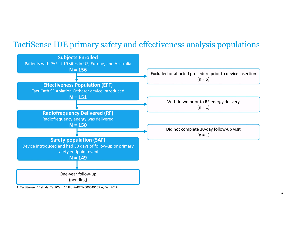### TactiSense IDE primary safety and effectiveness analysis populations

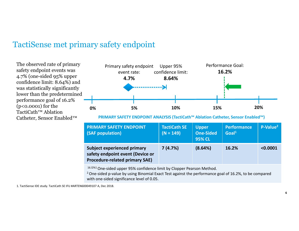### TactiSense met primary safety endpoint

The observed rate of primary safety endpoint events was 4.7% (one-sided 95% upper confidence limit: 8.64%) and was statistically significantly lower than the predetermined performance goal of 16.2% (p<0.0001) for the TactiCath™ Ablation Catheter, Sensor Enabled™



**PRIMARY SAFETY ENDPOINT ANALYSIS (TactiCath™ Ablation Catheter, Sensor Enabled™)**

| <b>PRIMARY SAFETY ENDPOINT</b><br>(SAF population)                                                              | <b>TactiCath SE</b><br>$(N = 149)$ | <b>Upper</b><br><b>One-Sided</b><br><b>95% CL</b> | <b>Performance</b><br>Goal <sup>1</sup> | P-Value <sup>2</sup> |
|-----------------------------------------------------------------------------------------------------------------|------------------------------------|---------------------------------------------------|-----------------------------------------|----------------------|
| <b>Subject experienced primary</b><br>safety endpoint event (Device or<br><b>Procedure-related primary SAE)</b> | 7(4.7%)                            | (8.64%)                                           | 16.2%                                   | < 0.0001             |

16.12%1 One-sided upper 95% confidence limit by Clopper Pearson Method.

<sup>2</sup> One-sided p-value by using Binomial Exact Test against the performance goal of 16.2%, to be compared with one-sided significance level of 0.05.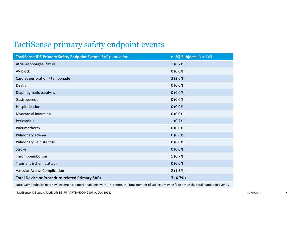### TactiSense primary safety endpoint events

| <b>TactiSense IDE Primary Safety Endpoint Events (SAF population)</b> | $n$ (%) Subjects, $N = 149$ |
|-----------------------------------------------------------------------|-----------------------------|
| Atrial-esophageal fistula                                             | 1(0.7%)                     |
| AV block                                                              | $0(0.0\%)$                  |
| Cardiac perforation / tamponade                                       | 3(2.0%)                     |
| Death                                                                 | $0(0.0\%)$                  |
| Diaphragmatic paralysis                                               | $0(0.0\%)$                  |
| Gastroparesis                                                         | $0(0.0\%)$                  |
| Hospitalization                                                       | $0(0.0\%)$                  |
| Myocardial infarction                                                 | $0(0.0\%)$                  |
| Pericarditis                                                          | 1(0.7%)                     |
| Pneumothorax                                                          | $0(0.0\%)$                  |
| Pulmonary edema                                                       | $0(0.0\%)$                  |
| Pulmonary vein stenosis                                               | $0(0.0\%)$                  |
| Stroke                                                                | $0(0.0\%)$                  |
| Thromboembolism                                                       | 1(0.7%)                     |
| Transient ischemic attack                                             | $0(0.0\%)$                  |
| Vascular Access Complication                                          | 2(1.3%)                     |
| <b>Total Device or Procedure-related Primary SAEs</b>                 | 7(4.7%)                     |

Note: Some subjects may have experienced more than one event. Therefore, the total number of subjects may be fewer than the total number of events.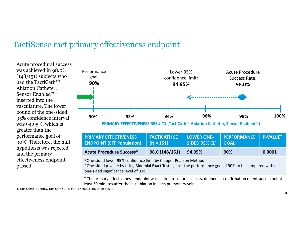#### TactiSense met primary effectiveness endpoint

Acute procedural success was achieved in 98.0%  $(148/151)$  subjects who had the TactiCath™ Ablation Catheter, Sensor Enabled™ inserted into the vasculature. The lower bound of the one-sided 95% confidence interval was 94.95%, which is greater than the performance goal of 90%. Therefore, the null hypothesis was rejected and the primary effectiveness endpoint passed.



| <b>PRIMARY EFFECTIVENESS</b><br><b>ENDPOINT (EFF Population)</b> $(N = 151)$ | <b>TACTICATH SE</b> | <b>LOWER ONE-</b><br>SIDED 95% $CL^1$ GOAL | PERFORMANCE    P-VALUE <sup>2  </sup> |        |
|------------------------------------------------------------------------------|---------------------|--------------------------------------------|---------------------------------------|--------|
| <b>Acute Procedure Success*</b>                                              | 98.0 (148/151)      | 94.95%                                     | 90%                                   | 0.0001 |

<sup>1</sup> One-sided lower 95% confidence limit by Clopper Pearson Method.

<sup>2</sup> One-sided p-value by using Binomial Exact Test against the performance goal of 90% to be compared with a one‐sided significance level of 0.05.

\* The primary effectiveness endpoint was acute procedure success, defined as confirmation of entrance block at least 30 minutes after the last ablation in each pulmonary vein.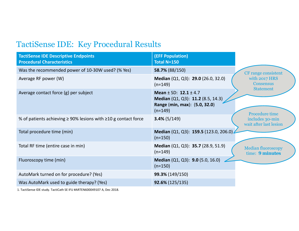## TactiSense IDE: Key Procedural Results

| <b>TactiSense IDE Descriptive Endpoints</b><br><b>Procedural Characteristics</b> | <b>(EFF Population)</b><br>Total N=150                                                                           |                                              |
|----------------------------------------------------------------------------------|------------------------------------------------------------------------------------------------------------------|----------------------------------------------|
| Was the recommended power of 10-30W used? (% Yes)                                | 58.7% (88/150)                                                                                                   | <b>CF</b> range consistent                   |
| Average RF power (W)                                                             | Median (Q1, Q3): 29.0 (26.0, 32.0)<br>$(n=149)$                                                                  | with 2017 HRS<br><b>Consensus</b>            |
| Average contact force (g) per subject                                            | Mean $\pm$ SD: 12.1 $\pm$ 4.7<br>Median (Q1, Q3): 11.2 (8.5, 14.3)<br>Range (min, max): (5.0, 32.0)<br>$(n=149)$ | <b>Statement</b><br>Procedure time           |
| % of patients achieving $\geq$ 90% lesions with $\geq$ 10 g contact force        | $3.4\%$ (5/149)                                                                                                  | includes 30-min<br>wait after last lesion    |
| Total procedure time (min)                                                       | Median (Q1, Q3): 159.5 (123.0, 206.0).<br>$(n=150)$                                                              |                                              |
| Total RF time (entire case in min)                                               | Median (Q1, Q3): 35.7 (28.9, 51.9)<br>$(n=149)$                                                                  | <b>Median fluoroscopy</b><br>time: 9 minutes |
| Fluoroscopy time (min)                                                           | Median (Q1, Q3): 9.0 (5.0, 16.0)<br>$(n=150)$                                                                    |                                              |
| AutoMark turned on for procedure? (Yes)                                          | 99.3% (149/150)                                                                                                  |                                              |
| Was AutoMark used to guide therapy? (Yes)                                        | 92.6% (125/135)                                                                                                  |                                              |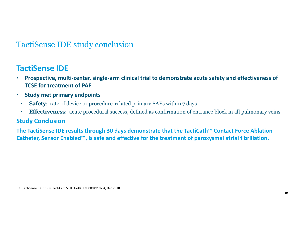### TactiSense IDE study conclusion

#### **TactiSense IDE**

- $\bullet$  **Prospective, multi‐center, single‐arm clinical trial to demonstrate acute safety and effectiveness of TCSE for treatment of PAF**
- • **Study met primary endpoints**
	- $\bullet$ **Safety**: rate of device or procedure-related primary SAEs within 7 days
	- •**Effectiveness**: acute procedural success, defined as confirmation of entrance block in all pulmonary veins

#### **Study Conclusion**

**The TactiSense IDE results through 30 days demonstrate that the TactiCath™ Contact Force Ablation Catheter, Sensor Enabled™, is safe and effective for the treatment of paroxysmal atrial fibrillation.**